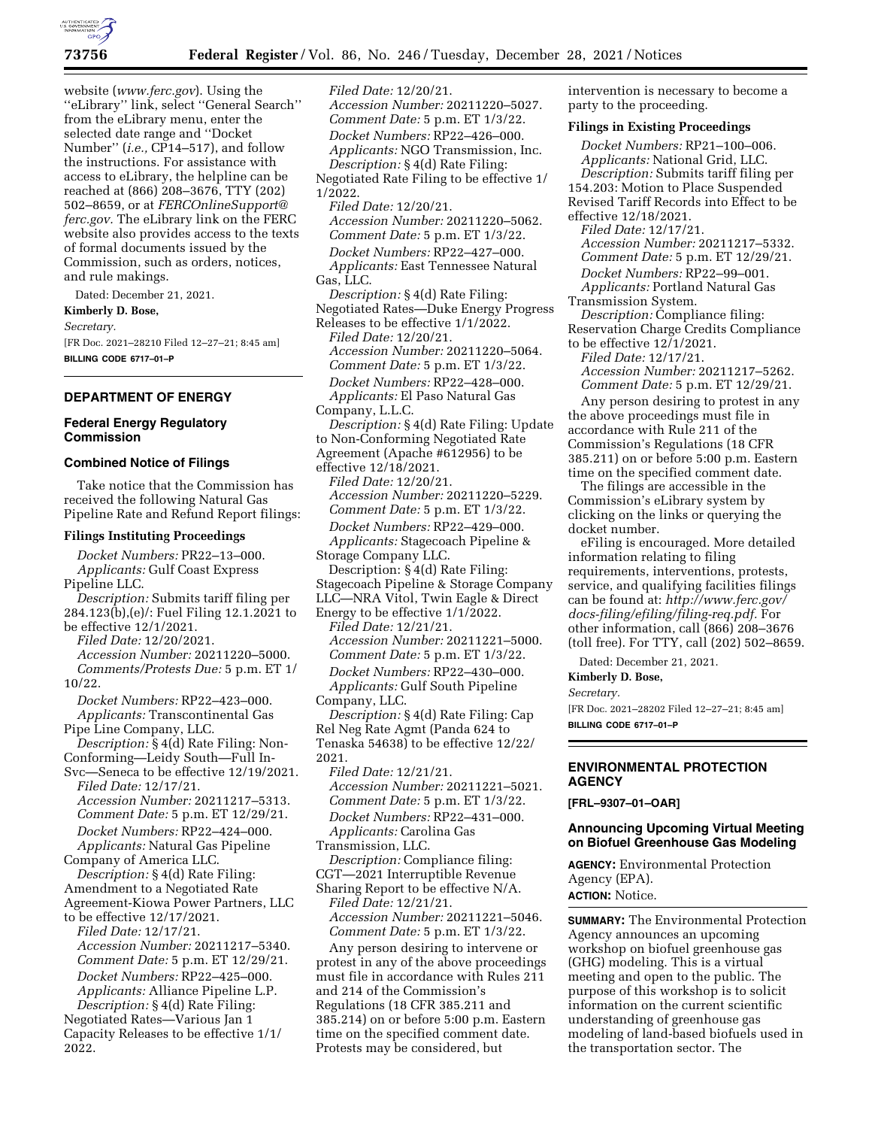

website (*[www.ferc.gov](http://www.ferc.gov)*). Using the ''eLibrary'' link, select ''General Search'' from the eLibrary menu, enter the selected date range and ''Docket Number'' (*i.e.,* CP14–517), and follow the instructions. For assistance with access to eLibrary, the helpline can be reached at (866) 208–3676, TTY (202) 502–8659, or at *[FERCOnlineSupport@](mailto:FERCOnlineSupport@ferc.gov) [ferc.gov.](mailto:FERCOnlineSupport@ferc.gov)* The eLibrary link on the FERC website also provides access to the texts of formal documents issued by the Commission, such as orders, notices, and rule makings.

Dated: December 21, 2021.

**Kimberly D. Bose,** 

*Secretary.* 

[FR Doc. 2021–28210 Filed 12–27–21; 8:45 am] **BILLING CODE 6717–01–P** 

# **DEPARTMENT OF ENERGY**

# **Federal Energy Regulatory Commission**

# **Combined Notice of Filings**

Take notice that the Commission has received the following Natural Gas Pipeline Rate and Refund Report filings:

#### **Filings Instituting Proceedings**

*Docket Numbers:* PR22–13–000. *Applicants:* Gulf Coast Express Pipeline LLC. *Description:* Submits tariff filing per 284.123(b),(e)/: Fuel Filing 12.1.2021 to be effective 12/1/2021. *Filed Date:* 12/20/2021. *Accession Number:* 20211220–5000. *Comments/Protests Due:* 5 p.m. ET 1/ 10/22. *Docket Numbers:* RP22–423–000. *Applicants:* Transcontinental Gas Pipe Line Company, LLC. *Description:* § 4(d) Rate Filing: Non-Conforming—Leidy South—Full In-Svc—Seneca to be effective 12/19/2021. *Filed Date:* 12/17/21. *Accession Number:* 20211217–5313. *Comment Date:* 5 p.m. ET 12/29/21. *Docket Numbers:* RP22–424–000. *Applicants:* Natural Gas Pipeline Company of America LLC. *Description:* § 4(d) Rate Filing: Amendment to a Negotiated Rate Agreement-Kiowa Power Partners, LLC to be effective 12/17/2021. *Filed Date:* 12/17/21. *Accession Number:* 20211217–5340. *Comment Date:* 5 p.m. ET 12/29/21. *Docket Numbers:* RP22–425–000. *Applicants:* Alliance Pipeline L.P. *Description:* § 4(d) Rate Filing: Negotiated Rates—Various Jan 1 Capacity Releases to be effective 1/1/ 2022.

*Filed Date:* 12/20/21. *Accession Number:* 20211220–5027. *Comment Date:* 5 p.m. ET 1/3/22. *Docket Numbers:* RP22–426–000. *Applicants:* NGO Transmission, Inc. *Description:* § 4(d) Rate Filing: Negotiated Rate Filing to be effective 1/ 1/2022. *Filed Date:* 12/20/21. *Accession Number:* 20211220–5062. *Comment Date:* 5 p.m. ET 1/3/22. *Docket Numbers:* RP22–427–000. *Applicants:* East Tennessee Natural Gas, LLC. *Description:* § 4(d) Rate Filing: Negotiated Rates—Duke Energy Progress Releases to be effective 1/1/2022. *Filed Date:* 12/20/21. *Accession Number:* 20211220–5064. *Comment Date:* 5 p.m. ET 1/3/22. *Docket Numbers:* RP22–428–000. *Applicants:* El Paso Natural Gas Company, L.L.C. *Description:* § 4(d) Rate Filing: Update to Non-Conforming Negotiated Rate Agreement (Apache #612956) to be effective 12/18/2021. *Filed Date:* 12/20/21. *Accession Number:* 20211220–5229. *Comment Date:* 5 p.m. ET 1/3/22. *Docket Numbers:* RP22–429–000. *Applicants:* Stagecoach Pipeline & Storage Company LLC. Description: § 4(d) Rate Filing: Stagecoach Pipeline & Storage Company LLC—NRA Vitol, Twin Eagle & Direct Energy to be effective 1/1/2022. *Filed Date:* 12/21/21. *Accession Number:* 20211221–5000. *Comment Date:* 5 p.m. ET 1/3/22. *Docket Numbers:* RP22–430–000. *Applicants:* Gulf South Pipeline Company, LLC. *Description:* § 4(d) Rate Filing: Cap Rel Neg Rate Agmt (Panda 624 to Tenaska 54638) to be effective 12/22/ 2021. *Filed Date:* 12/21/21. *Accession Number:* 20211221–5021. *Comment Date:* 5 p.m. ET 1/3/22. *Docket Numbers:* RP22–431–000. *Applicants:* Carolina Gas Transmission, LLC. *Description:* Compliance filing: CGT—2021 Interruptible Revenue Sharing Report to be effective N/A. *Filed Date:* 12/21/21. *Accession Number:* 20211221–5046. *Comment Date:* 5 p.m. ET 1/3/22. Any person desiring to intervene or protest in any of the above proceedings must file in accordance with Rules 211 and 214 of the Commission's

Regulations (18 CFR 385.211 and 385.214) on or before 5:00 p.m. Eastern time on the specified comment date. Protests may be considered, but

intervention is necessary to become a party to the proceeding.

#### **Filings in Existing Proceedings**

*Docket Numbers:* RP21–100–006. *Applicants:* National Grid, LLC. *Description:* Submits tariff filing per 154.203: Motion to Place Suspended Revised Tariff Records into Effect to be effective 12/18/2021. *Filed Date:* 12/17/21. *Accession Number:* 20211217–5332. *Comment Date:* 5 p.m. ET 12/29/21. *Docket Numbers:* RP22–99–001. *Applicants:* Portland Natural Gas Transmission System. *Description:* Compliance filing: Reservation Charge Credits Compliance

to be effective 12/1/2021.

*Filed Date:* 12/17/21. *Accession Number:* 20211217–5262.

*Comment Date:* 5 p.m. ET 12/29/21.

Any person desiring to protest in any the above proceedings must file in accordance with Rule 211 of the Commission's Regulations (18 CFR 385.211) on or before 5:00 p.m. Eastern time on the specified comment date.

The filings are accessible in the Commission's eLibrary system by clicking on the links or querying the docket number.

eFiling is encouraged. More detailed information relating to filing requirements, interventions, protests, service, and qualifying facilities filings can be found at: *[http://www.ferc.gov/](http://www.ferc.gov/docs-filing/efiling/filing-req.pdf)  [docs-filing/efiling/filing-req.pdf.](http://www.ferc.gov/docs-filing/efiling/filing-req.pdf)* For other information, call (866) 208–3676 (toll free). For TTY, call (202) 502–8659.

Dated: December 21, 2021.

**Kimberly D. Bose,** 

*Secretary.* 

[FR Doc. 2021–28202 Filed 12–27–21; 8:45 am] **BILLING CODE 6717–01–P** 

# **ENVIRONMENTAL PROTECTION AGENCY**

**[FRL–9307–01–OAR]** 

#### **Announcing Upcoming Virtual Meeting on Biofuel Greenhouse Gas Modeling**

**AGENCY:** Environmental Protection Agency (EPA).

**ACTION:** Notice.

**SUMMARY:** The Environmental Protection Agency announces an upcoming workshop on biofuel greenhouse gas (GHG) modeling. This is a virtual meeting and open to the public. The purpose of this workshop is to solicit information on the current scientific understanding of greenhouse gas modeling of land-based biofuels used in the transportation sector. The